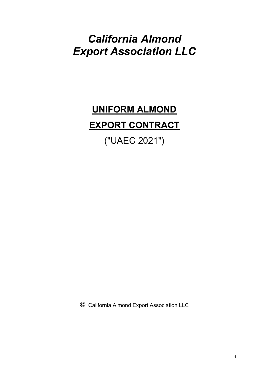## *California Almond Export Association LLC*

# **UNIFORM ALMOND EXPORT CONTRACT**

("UAEC 2021")

© California Almond Export Association LLC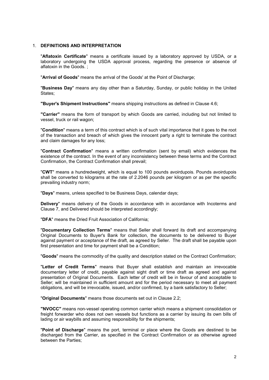#### 1. **DEFINITIONS AND INTERPRETATION**

"**Aflatoxin Certificate**" means a certificate issued by a laboratory approved by USDA, or a laboratory undergoing the USDA approval process, regarding the presence or absence of aflatoxin in the Goods. ;

"**Arrival of Goods**" means the arrival of the Goods' at the Point of Discharge;

"**Business Day**" means any day other than a Saturday, Sunday, or public holiday in the United States;

**"Buyer's Shipment Instructions"** means shipping instructions as defined in Clause 4.6;

**"Carrier"** means the form of transport by which Goods are carried, including but not limited to vessel, truck or rail wagon;

"**Condition**" means a term of this contract which is of such vital importance that it goes to the root of the transaction and breach of which gives the innocent party a right to terminate the contract and claim damages for any loss;

"**Contract Confirmation**" means a written confirmation (sent by email) which evidences the existence of the contract. In the event of any inconsistency between these terms and the Contract Confirmation, the Contract Confirmation shall prevail;

"**CWT**" means a hundredweight, which is equal to 100 pounds avoirdupois. Pounds avoirdupois shall be converted to kilograms at the rate of 2.2046 pounds per kilogram or as per the specific prevailing industry norm;

"**Days**" means, unless specified to be Business Days, calendar days;

**Delivery**" means delivery of the Goods in accordance with in accordance with Incoterms and Clause [7](#page-5-0), and Delivered should be interpreted accordingly;

"**DFA**" means the Dried Fruit Association of California;

"**Documentary Collection Terms**" means that Seller shall forward its draft and accompanying Original Documents to Buyer's Bank for collection, the documents to be delivered to Buyer against payment or acceptance of the draft, as agreed by Seller. The draft shall be payable upon first presentation and time for payment shall be a Condition;

"**Goods**" means the commodity of the quality and description stated on the Contract Confirmation;

"**Letter of Credit Terms**" means that Buyer shall establish and maintain an irrevocable documentary letter of credit, payable against sight draft or time draft as agreed and against presentation of Original Documents. Each letter of credit will be in favour of and acceptable to Seller; will be maintained in sufficient amount and for the period necessary to meet all payment obligations, and will be irrevocable, issued, and/or confirmed, by a bank satisfactory to Seller;

"**Original Documents**" means those documents set out in Clause [2.2](#page-2-0);

**"NVOCC"** means non-vessel operating common carrier which means a shipment consolidation or freight forwarder who does not own vessels but functions as a carrier by issuing its own bills of lading or air waybills and assuming responsibility for the shipments;

"**Point of Discharge**" means the port, terminal or place where the Goods are destined to be discharged from the Carrier, as specified in the Contract Confirmation or as otherwise agreed between the Parties;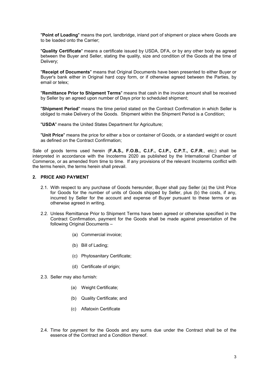"**Point of Loading**" means the port, landbridge, inland port of shipment or place where Goods are to be loaded onto the Carrier;

"**Quality Certificate**" means a certificate issued by USDA, DFA, or by any other body as agreed between the Buyer and Seller, stating the quality, size and condition of the Goods at the time of Delivery;

"**Receipt of Documents**" means that Original Documents have been presented to either Buyer or Buyer's bank either in Original hard copy form, or if otherwise agreed between the Parties, by email or telex;

"**Remittance Prior to Shipment Terms**" means that cash in the invoice amount shall be received by Seller by an agreed upon number of Days prior to scheduled shipment;

"**Shipment Period**" means the time period stated on the Contract Confirmation in which Seller is obliged to make Delivery of the Goods. Shipment within the Shipment Period is a Condition;

"**USDA**" means the United States Department for Agriculture;

"**Unit Price**" means the price for either a box or container of Goods, or a standard weight or count as defined on the Contract Confirmation;

Sale of goods terms used herein (**F.A.S., F.O.B., C.I.F., C.I.P., C.P.T., C.F.R**., etc;) shall be interpreted in accordance with the Incoterms 2020 as published by the International Chamber of Commerce, or as amended from time to time. If any provisions of the relevant Incoterms conflict with the terms herein, the terms herein shall prevail.

## **2. PRICE AND PAYMENT**

- 2.1. With respect to any purchase of Goods hereunder, Buyer shall pay Seller (a) the Unit Price for Goods for the number of units of Goods shipped by Seller, plus (b) the costs, if any, incurred by Seller for the account and expense of Buyer pursuant to these terms or as otherwise agreed in writing.
- <span id="page-2-0"></span>2.2. Unless Remittance Prior to Shipment Terms have been agreed or otherwise specified in the Contract Confirmation, payment for the Goods shall be made against presentation of the following Original Documents –
	- (a) Commercial invoice;
	- (b) Bill of Lading;
	- (c) Phytosanitary Certificate;
	- (d) Certificate of origin:
- 2.3. Seller may also furnish:
	- (a) Weight Certificate;
	- (b) Quality Certificate; and
	- (c) Aflatoxin Certificate
- 2.4. Time for payment for the Goods and any sums due under the Contract shall be of the essence of the Contract and a Condition thereof.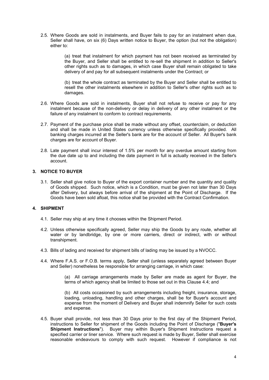2.5. Where Goods are sold in instalments, and Buyer fails to pay for an instalment when due, Seller shall have, on six (6) Days written notice to Buyer, the option (but not the obligation) either to:

> (a) treat that instalment for which payment has not been received as terminated by the Buyer, and Seller shall be entitled to re-sell the shipment in addition to Seller's other rights such as to damages, in which case Buyer shall remain obligated to take delivery of and pay for all subsequent instalments under the Contract; or

> (b) treat the whole contract as terminated by the Buyer and Seller shall be entitled to resell the other instalments elsewhere in addition to Seller's other rights such as to damages.

- 2.6. Where Goods are sold in instalments, Buyer shall not refuse to receive or pay for any instalment because of the non-delivery or delay in delivery of any other instalment or the failure of any instalment to conform to contract requirements.
- 2.7. Payment of the purchase price shall be made without any offset, counterclaim, or deduction and shall be made in United States currency unless otherwise specifically provided. All banking charges incurred at the Seller's bank are for the account of Seller. All Buyer's bank charges are for account of Buyer.
- 2.8. Late payment shall incur interest of 1.5% per month for any overdue amount starting from the due date up to and including the date payment in full is actually received in the Seller's account.

## **3. NOTICE TO BUYER**

3.1. Seller shall give notice to Buyer of the export container number and the quantity and quality of Goods shipped. Such notice, which is a Condition, must be given not later than 30 Days after Delivery, but always before arrival of the shipment at the Point of Discharge. If the Goods have been sold afloat, this notice shall be provided with the Contract Confirmation.

### **4. SHIPMENT**

- 4.1. Seller may ship at any time it chooses within the Shipment Period.
- 4.2. Unless otherwise specifically agreed, Seller may ship the Goods by any route, whether all water or by landbridge, by one or more carriers, direct or indirect, with or without transhipment.
- 4.3. Bills of lading and received for shipment bills of lading may be issued by a NVOCC.
- <span id="page-3-0"></span>4.4. Where F.A.S. or F.O.B. terms apply, Seller shall (unless separately agreed between Buyer and Seller) nonetheless be responsible for arranging carriage, in which case:

(a) All carriage arrangements made by Seller are made as agent for Buyer, the terms of which agency shall be limited to those set out in this Clause [4.4](#page-3-0); and

(b) All costs occasioned by such arrangements including freight, insurance, storage, loading, unloading, handling and other charges, shall be for Buyer's account and expense from the moment of Delivery and Buyer shall indemnify Seller for such costs and expense.

4.5. Buyer shall provide, not less than 30 Days prior to the first day of the Shipment Period, instructions to Seller for shipment of the Goods including the Point of Discharge ("**Buyer's Shipment Instructions**"). Buyer may within Buyer's Shipment Instructions request a specified carrier or liner service. Where such request is made by Buyer, Seller shall exercise reasonable endeavours to comply with such request. However if compliance is not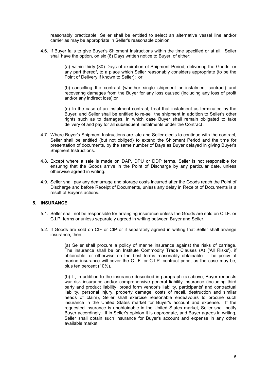reasonably practicable, Seller shall be entitled to select an alternative vessel line and/or carrier as may be appropriate in Seller's reasonable opinion.

4.6. If Buyer fails to give Buyer's Shipment Instructions within the time specified or at all, Seller shall have the option, on six (6) Days written notice to Buyer, of either:

> (a) within thirty (30) Days of expiration of Shipment Period, delivering the Goods, or any part thereof, to a place which Seller reasonably considers appropriate (to be the Point of Delivery if known to Seller); or

> (b) cancelling the contract (whether single shipment or instalment contract) and recovering damages from the Buyer for any loss caused (including any loss of profit and/or any indirect loss);or

> (c) In the case of an instalment contract, treat that instalment as terminated by the Buyer, and Seller shall be entitled to re-sell the shipment in addition to Seller's other rights such as to damages, in which case Buyer shall remain obligated to take delivery of and pay for all subsequent instalments under the Contract .

- 4.7. Where Buyer's Shipment Instructions are late and Seller elects to continue with the contract, Seller shall be entitled (but not obliged) to extend the Shipment Period and the time for presentation of documents, by the same number of Days as Buyer delayed in giving Buyer's Shipment Instructions.
- 4.8. Except where a sale is made on DAP, DPU or DDP terms, Seller is not responsible for ensuring that the Goods arrive in the Point of Discharge by any particular date, unless otherwise agreed in writing.
- 4.9. Seller shall pay any demurrage and storage costs incurred after the Goods reach the Point of Discharge and before Receipt of Documents, unless any delay in Receipt of Documents is a result of Buyer's actions.

## **5. INSURANCE**

- 5.1. Seller shall not be responsible for arranging insurance unless the Goods are sold on C.I.F. or C.I.P. terms or unless separately agreed in writing between Buyer and Seller.
- 5.2. If Goods are sold on CIF or CIP or if separately agreed in writing that Seller shall arrange insurance, then:

<span id="page-4-0"></span>(a) Seller shall procure a policy of marine insurance against the risks of carriage. The insurance shall be on Institute Commodity Trade Clauses (A) ('All Risks'), if obtainable, or otherwise on the best terms reasonably obtainable. The policy of marine insurance will cover the C.I.F. or C.I.P. contract price, as the case may be, plus ten percent (10%).

(b) If, in addition to the insurance described in paragraph [\(a\)](#page-4-0) above, Buyer requests war risk insurance and/or comprehensive general liability insurance (including third party and product liability, broad form vendor's liability, participants' and contractual liability, personal injury, property damage, costs of recall, destruction and similar heads of claim), Seller shall exercise reasonable endeavours to procure such insurance in the United States market for Buyer's account and expense. If the requested insurance is unobtainable in the United States market, Seller shall notify Buyer accordingly. If in Seller's opinion it is appropriate, and Buyer agrees in writing, Seller shall obtain such insurance for Buyer's account and expense in any other available market.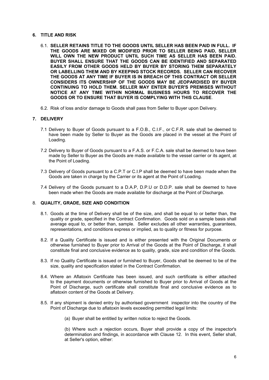#### **6. TITLE AND RISK**

- 6.1. **SELLER RETAINS TITLE TO THE GOODS UNTIL SELLER HAS BEEN PAID IN FULL. IF THE GOODS ARE MIXED OR MODIFIED PRIOR TO SELLER BEING PAID, SELLER WILL OWN THE NEW PRODUCT UNTIL SUCH TIME AS SELLER HAS BEEN PAID. BUYER SHALL ENSURE THAT THE GOODS CAN BE IDENTIFIED AND SEPARATED EASILY FROM OTHER GOODS HELD BY BUYER BY STORING THEM SEPARATELY OR LABELLING THEM AND BY KEEPING STOCK RECORDS. SELLER CAN RECOVER THE GOODS AT ANY TIME IF BUYER IS IN BREACH OF THIS CONTRACT OR SELLER CONSIDERS ITS OWNERSHIP OF THE GOODS MAY BE JEOPARDISED BY BUYER CONTINUING TO HOLD THEM. SELLER MAY ENTER BUYER'S PREMISES WITHOUT NOTICE AT ANY TIME WITHIN NORMAL BUSINESS HOURS TO RECOVER THE GOODS OR TO ENSURE THAT BUYER IS COMPLYING WITH THIS CLAUSE**.
- 6.2. Risk of loss and/or damage to Goods shall pass from Seller to Buyer upon Delivery.

#### <span id="page-5-0"></span>**7. DELIVERY**

- 7.1 Delivery to Buyer of Goods pursuant to a F.O.B., C.I.F., or C.F.R. sale shall be deemed to have been made by Seller to Buyer as the Goods are placed in the vessel at the Point of Loading.
- 7.2 Delivery to Buyer of Goods pursuant to a F.A.S. or F.C.A. sale shall be deemed to have been made by Seller to Buyer as the Goods are made available to the vessel carrier or its agent, at the Point of Loading.
- 7.3 Delivery of Goods pursuant to a C.P.T or C.I.P shall be deemed to have been made when the Goods are taken in charge by the Carrier or its agent at the Point of Loading.
- 7.4 Delivery of the Goods pursuant to a D.A.P, D.P.U or D.D.P. sale shall be deemed to have been made when the Goods are made available for discharge at the Point of Discharge.

#### 8. **QUALITY, GRADE, SIZE AND CONDITION**

- 8.1. Goods at the time of Delivery shall be of the size, and shall be equal to or better than, the quality or grade, specified in the Contract Confirmation. Goods sold on a sample basis shall average equal to, or better than, sample. Seller excludes all other warranties, guarantees, representations, and conditions express or implied, as to quality or fitness for purpose.
- 8.2. If a Quality Certificate is issued and is either presented with the Original Documents or otherwise furnished to Buyer prior to Arrival of the Goods at the Point of Discharge, it shall constitute final and conclusive evidence as to quality, grade, size and condition of the Goods.
- 8.3. If no Quality Certificate is issued or furnished to Buyer, Goods shall be deemed to be of the size, quality and specification stated in the Contract Confirmation.
- 8.4. Where an Aflatoxin Certificate has been issued, and such certificate is either attached to the payment documents or otherwise furnished to Buyer prior to Arrival of Goods at the Point of Discharge, such certificate shall constitute final and conclusive evidence as to aflatoxin content of the Goods at Delivery.
- 8.5. If any shipment is denied entry by authorised government inspector into the country of the Point of Discharge due to aflatoxin levels exceeding permitted legal limits:
	- (a) Buyer shall be entitled by written notice to reject the Goods.

(b) Where such a rejection occurs, Buyer shall provide a copy of the inspector's determination and findings, in accordance with Clause [12](#page-6-0). In this event, Seller shall, at Seller's option, either: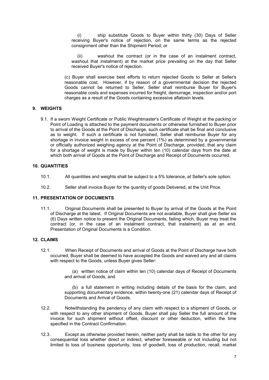(i) ship substitute Goods to Buyer within thirty (30) Days of Seller receiving Buyer's notice of rejection, on the same terms as the rejected consignment other than the Shipment Period; or

(ii) washout the contract (or in the case of an instalment contract, washout that instalment) at the market price prevailing on the day that Seller received Buyer's notice of rejection.

(c) Buyer shall exercise best efforts to return rejected Goods to Seller at Seller's reasonable cost. However, if by reason of a governmental decision the rejected Goods cannot be returned to Seller, Seller shall reimburse Buyer for Buyer's reasonable costs and expenses incurred for freight, demurrage, inspection and/or port charges as a result of the Goods containing excessive aflatoxin levels.

#### **9. WEIGHTS**

9.1. If a sworn Weight Certificate or Public Weightmaster's Certificate of Weight at the packing or Point of Loading is attached to the payment documents or otherwise furnished to Buyer prior to arrival of the Goods at the Point of Discharge, such certificate shall be final and conclusive as to weight. If such a certificate is not furnished, Seller shall reimburse Buyer for any shortage in invoice weight in excess of one percent (1%) as determined by a governmental or officially authorized weighing agency at the Point of Discharge, provided, that any claim for a shortage of weight is made by Buyer within ten (10) calendar days from the date at which both arrival of Goods at the Point of Discharge and Receipt of Documents occurred.

#### **10. QUANTITIES**

- 10.1. All quantities and weights shall be subject to a 5% tolerance, at Seller's sole option.
- 10.2. Seller shall invoice Buyer for the quantity of goods Delivered, at the Unit Price.

#### **11. PRESENTATION OF DOCUMENTS**

11.1. Original Documents shall be presented to Buyer by arrival of the Goods at the Point of Discharge at the latest. If Original Documents are not available, Buyer shall give Seller six (6) Days written notice to present the Original Documents, failing which, Buyer may treat the contract (or, in the case of an instalment contract, that instalment) as at an end. Presentation of Original Documents is a Condition.

#### <span id="page-6-0"></span>**12. CLAIMS**

12.1. When Receipt of Documents and arrival of Goods at the Point of Discharge have both occurred, Buyer shall be deemed to have accepted the Goods and waived any and all claims with respect to the Goods, unless Buyer gives Seller:

> (a) written notice of claim within ten (10) calendar days of Receipt of Documents and arrival of Goods, and

> (b) a full statement in writing including details of the basis for the claim, and supporting documentary evidence, within twenty-one (21) calendar days of Receipt of Documents and Arrival of Goods.

- 12.2. Notwithstanding the pendency of any claim with respect to a shipment of Goods, or with respect to any other shipment of Goods, Buyer shall pay Seller the full amount of the invoice for such shipment without offset, discount or other deduction, within the time specified in the Contract Confirmation.
- 12.3. Except as otherwise provided herein, neither party shall be liable to the other for any consequential loss whether direct or indirect, whether foreseeable or not including but not limited to loss of business opportunity, loss of goodwill, loss of production, recall, market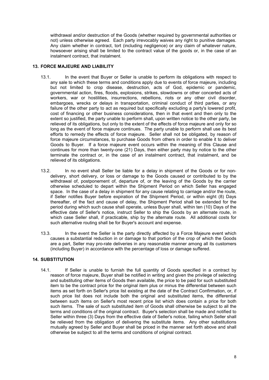withdrawal and/or destruction of the Goods (whether required by governmental authorities or not) unless otherwise agreed. Each party irrevocably waives any right to punitive damages. Any claim whether in contract, tort (including negligence) or any claim of whatever nature, howsoever arising shall be limited to the contract value of the goods or, in the case of an instalment contract, that instalment.

#### **13. FORCE MAJEURE AND LIABILITY**

- 13.1. In the event that Buyer or Seller is unable to perform its obligations with respect to any sale to which these terms and conditions apply due to events of force majeure, including but not limited to crop disease, destruction, acts of God, epidemic or pandemic, governmental action, fires, floods, explosions, strikes, slowdowns or other concerted acts of workers, war or hostilities, insurrections, rebellions, riots or any other civil disorder, embargoes, wrecks or delays in transportation, criminal conduct of third parties, or any failure of the other party to act as required but specifically excluding a party's lowered profit, cost of financing or other business considerations, then in that event and then only to the extent so justified, the party unable to perform shall, upon written notice to the other party, be relieved of its obligations, but only to the extent of the effects of force majeure and only for so long as the event of force majeure continues. The party unable to perform shall use its best efforts to remedy the effects of force majeure. Seller shall not be obligated, by reason of force majeure circumstances, to purchase Goods from others in order to enable it to deliver Goods to Buyer. If a force majeure event occurs within the meaning of this Clause and continues for more than twenty-one (21) Days, then either party may by notice to the other terminate the contract or, in the case of an instalment contract, that instalment, and be relieved of its obligations.
- 13.2. In no event shall Seller be liable for a delay in shipment of the Goods or for nondelivery, short delivery, or loss or damage to the Goods caused or contributed to by the withdrawal of, postponement of, departure of, or the leaving of the Goods by the carrier otherwise scheduled to depart within the Shipment Period on which Seller has engaged space. In the case of a delay in shipment for any cause relating to carriage and/or the route, if Seller notifies Buyer before expiration of the Shipment Period, or within eight (8) Days thereafter, of the fact and cause of delay, the Shipment Period shall be extended for the period during which such cause shall operate, unless Buyer shall, within ten (10) Days of the effective date of Seller's notice, instruct Seller to ship the Goods by an alternate route, in which case Seller shall, if practicable, ship by the alternate route. All additional costs for such alternative routing shall be for Buyer's account and expense.
- 13.3. In the event the Seller is the party directly affected by a Force Majeure event which causes a substantial reduction in or damage to that portion of the crop of which the Goods are a part, Seller may pro-rate deliveries in any reasonable manner among all its customers (including Buyer) in accordance with the percentage of loss or damage suffered.

## **14. SUBSTITUTION**

14.1. If Seller is unable to furnish the full quantity of Goods specified in a contract by reason of force majeure, Buyer shall be notified in writing and given the privilege of selecting and substituting other items of Goods then available, the price to be paid for such substituted item to be the contract price for the original item plus or minus the differential between such items as set forth on Seller's price list existing at the date of the Contract Confirmation, or, if such price list does not include both the original and substituted items, the differential between such items on Seller's most recent price list which does contain a price for both such items. The sale of such substituted item of Goods shall otherwise be subject to all the terms and conditions of the original contract. Buyer's selection shall be made and notified to Seller within three (3) Days from the effective date of Seller's notice, failing which Seller shall be relieved from the obligation of delivering the substitute items. Any other substitutions mutually agreed by Seller and Buyer shall be priced in the manner set forth above and shall otherwise be subject to all the terms and conditions of original contract*.*